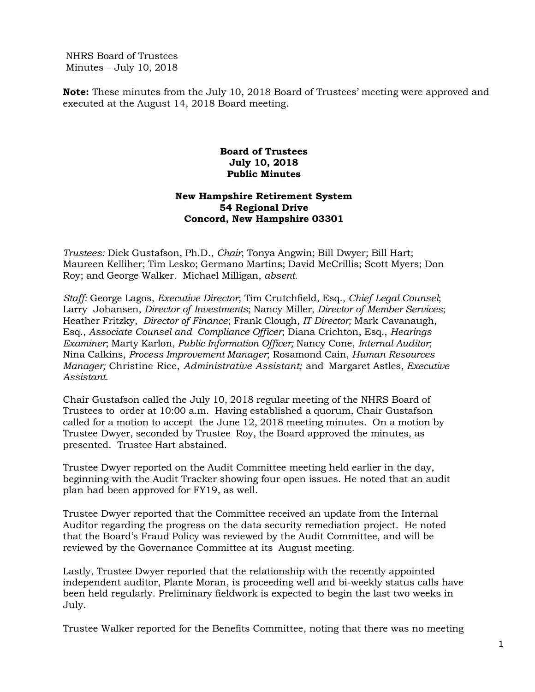NHRS Board of Trustees Minutes – July 10, 2018

**Note:** These minutes from the July 10, 2018 Board of Trustees' meeting were approved and executed at the August 14, 2018 Board meeting.

## **Board of Trustees July 10, 2018 Public Minutes**

## **New Hampshire Retirement System 54 Regional Drive Concord, New Hampshire 03301**

*Trustees:* Dick Gustafson, Ph.D., *Chair*; Tonya Angwin; Bill Dwyer; Bill Hart; Maureen Kelliher; Tim Lesko; Germano Martins; David McCrillis; Scott Myers; Don Roy; and George Walker. Michael Milligan, *absent*.

*Staff:* George Lagos, *Executive Director*; Tim Crutchfield, Esq., *Chief Legal Counsel*; Larry Johansen, *Director of Investments*; Nancy Miller, *Director of Member Services*; Heather Fritzky, *Director of Finance*; Frank Clough, *IT Director;* Mark Cavanaugh, Esq., *Associate Counsel and Compliance Officer*; Diana Crichton, Esq., *Hearings Examiner*; Marty Karlon, *Public Information Officer;* Nancy Cone, *Internal Auditor*; Nina Calkins, *Process Improvement Manager*; Rosamond Cain, *Human Resources Manager;* Christine Rice, *Administrative Assistant;* and Margaret Astles, *Executive Assistant*.

Chair Gustafson called the July 10, 2018 regular meeting of the NHRS Board of Trustees to order at 10:00 a.m. Having established a quorum, Chair Gustafson called for a motion to accept the June 12, 2018 meeting minutes. On a motion by Trustee Dwyer, seconded by Trustee Roy, the Board approved the minutes, as presented. Trustee Hart abstained.

Trustee Dwyer reported on the Audit Committee meeting held earlier in the day, beginning with the Audit Tracker showing four open issues. He noted that an audit plan had been approved for FY19, as well.

Trustee Dwyer reported that the Committee received an update from the Internal Auditor regarding the progress on the data security remediation project. He noted that the Board's Fraud Policy was reviewed by the Audit Committee, and will be reviewed by the Governance Committee at its August meeting.

Lastly, Trustee Dwyer reported that the relationship with the recently appointed independent auditor, Plante Moran, is proceeding well and bi-weekly status calls have been held regularly. Preliminary fieldwork is expected to begin the last two weeks in July.

Trustee Walker reported for the Benefits Committee, noting that there was no meeting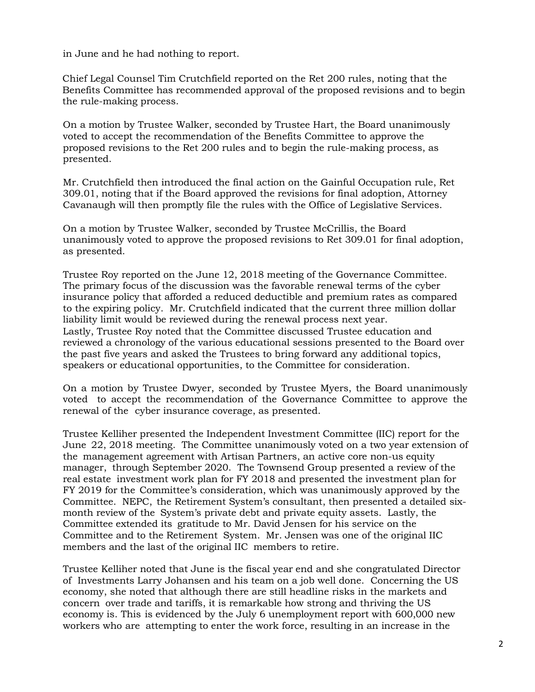in June and he had nothing to report.

Chief Legal Counsel Tim Crutchfield reported on the Ret 200 rules, noting that the Benefits Committee has recommended approval of the proposed revisions and to begin the rule-making process.

On a motion by Trustee Walker, seconded by Trustee Hart, the Board unanimously voted to accept the recommendation of the Benefits Committee to approve the proposed revisions to the Ret 200 rules and to begin the rule-making process, as presented.

Mr. Crutchfield then introduced the final action on the Gainful Occupation rule, Ret 309.01, noting that if the Board approved the revisions for final adoption, Attorney Cavanaugh will then promptly file the rules with the Office of Legislative Services.

On a motion by Trustee Walker, seconded by Trustee McCrillis, the Board unanimously voted to approve the proposed revisions to Ret 309.01 for final adoption, as presented.

Trustee Roy reported on the June 12, 2018 meeting of the Governance Committee. The primary focus of the discussion was the favorable renewal terms of the cyber insurance policy that afforded a reduced deductible and premium rates as compared to the expiring policy. Mr. Crutchfield indicated that the current three million dollar liability limit would be reviewed during the renewal process next year. Lastly, Trustee Roy noted that the Committee discussed Trustee education and reviewed a chronology of the various educational sessions presented to the Board over the past five years and asked the Trustees to bring forward any additional topics, speakers or educational opportunities, to the Committee for consideration.

On a motion by Trustee Dwyer, seconded by Trustee Myers, the Board unanimously voted to accept the recommendation of the Governance Committee to approve the renewal of the cyber insurance coverage, as presented.

Trustee Kelliher presented the Independent Investment Committee (IIC) report for the June 22, 2018 meeting. The Committee unanimously voted on a two year extension of the management agreement with Artisan Partners, an active core non-us equity manager, through September 2020. The Townsend Group presented a review of the real estate investment work plan for FY 2018 and presented the investment plan for FY 2019 for the Committee's consideration, which was unanimously approved by the Committee. NEPC, the Retirement System's consultant, then presented a detailed sixmonth review of the System's private debt and private equity assets. Lastly, the Committee extended its gratitude to Mr. David Jensen for his service on the Committee and to the Retirement System. Mr. Jensen was one of the original IIC members and the last of the original IIC members to retire.

Trustee Kelliher noted that June is the fiscal year end and she congratulated Director of Investments Larry Johansen and his team on a job well done. Concerning the US economy, she noted that although there are still headline risks in the markets and concern over trade and tariffs, it is remarkable how strong and thriving the US economy is. This is evidenced by the July 6 unemployment report with 600,000 new workers who are attempting to enter the work force, resulting in an increase in the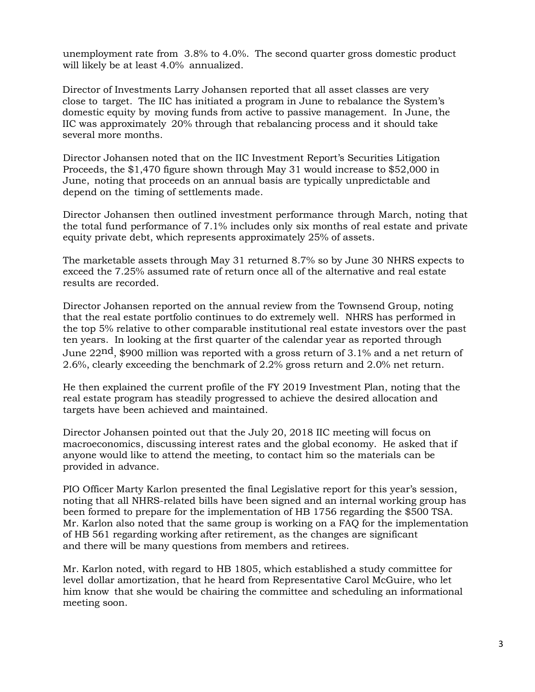unemployment rate from 3.8% to 4.0%. The second quarter gross domestic product will likely be at least 4.0% annualized.

Director of Investments Larry Johansen reported that all asset classes are very close to target. The IIC has initiated a program in June to rebalance the System's domestic equity by moving funds from active to passive management. In June, the IIC was approximately 20% through that rebalancing process and it should take several more months.

Director Johansen noted that on the IIC Investment Report's Securities Litigation Proceeds, the \$1,470 figure shown through May 31 would increase to \$52,000 in June, noting that proceeds on an annual basis are typically unpredictable and depend on the timing of settlements made.

Director Johansen then outlined investment performance through March, noting that the total fund performance of 7.1% includes only six months of real estate and private equity private debt, which represents approximately 25% of assets.

The marketable assets through May 31 returned 8.7% so by June 30 NHRS expects to exceed the 7.25% assumed rate of return once all of the alternative and real estate results are recorded.

Director Johansen reported on the annual review from the Townsend Group, noting that the real estate portfolio continues to do extremely well. NHRS has performed in the top 5% relative to other comparable institutional real estate investors over the past ten years. In looking at the first quarter of the calendar year as reported through June  $22<sup>nd</sup>$ , \$900 million was reported with a gross return of 3.1% and a net return of 2.6%, clearly exceeding the benchmark of 2.2% gross return and 2.0% net return.

He then explained the current profile of the FY 2019 Investment Plan, noting that the real estate program has steadily progressed to achieve the desired allocation and targets have been achieved and maintained.

Director Johansen pointed out that the July 20, 2018 IIC meeting will focus on macroeconomics, discussing interest rates and the global economy. He asked that if anyone would like to attend the meeting, to contact him so the materials can be provided in advance.

PIO Officer Marty Karlon presented the final Legislative report for this year's session, noting that all NHRS-related bills have been signed and an internal working group has been formed to prepare for the implementation of HB 1756 regarding the \$500 TSA*.*  Mr. Karlon also noted that the same group is working on a FAQ for the implementation of HB 561 regarding working after retirement, as the changes are significant and there will be many questions from members and retirees.

Mr. Karlon noted, with regard to HB 1805, which established a study committee for level dollar amortization, that he heard from Representative Carol McGuire, who let him know that she would be chairing the committee and scheduling an informational meeting soon.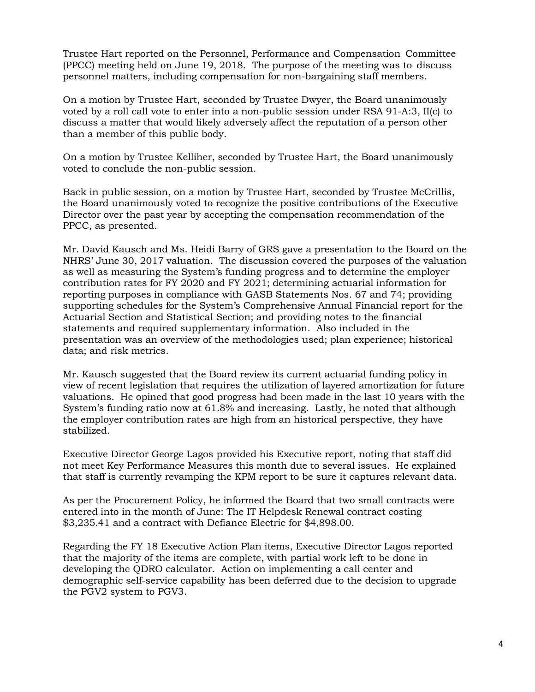Trustee Hart reported on the Personnel, Performance and Compensation Committee (PPCC) meeting held on June 19, 2018. The purpose of the meeting was to discuss personnel matters, including compensation for non-bargaining staff members.

On a motion by Trustee Hart, seconded by Trustee Dwyer, the Board unanimously voted by a roll call vote to enter into a non-public session under RSA 91-A:3, II(c) to discuss a matter that would likely adversely affect the reputation of a person other than a member of this public body.

On a motion by Trustee Kelliher, seconded by Trustee Hart, the Board unanimously voted to conclude the non-public session.

Back in public session, on a motion by Trustee Hart, seconded by Trustee McCrillis, the Board unanimously voted to recognize the positive contributions of the Executive Director over the past year by accepting the compensation recommendation of the PPCC, as presented.

Mr. David Kausch and Ms. Heidi Barry of GRS gave a presentation to the Board on the NHRS' June 30, 2017 valuation. The discussion covered the purposes of the valuation as well as measuring the System's funding progress and to determine the employer contribution rates for FY 2020 and FY 2021; determining actuarial information for reporting purposes in compliance with GASB Statements Nos. 67 and 74; providing supporting schedules for the System's Comprehensive Annual Financial report for the Actuarial Section and Statistical Section; and providing notes to the financial statements and required supplementary information. Also included in the presentation was an overview of the methodologies used; plan experience; historical data; and risk metrics.

Mr. Kausch suggested that the Board review its current actuarial funding policy in view of recent legislation that requires the utilization of layered amortization for future valuations. He opined that good progress had been made in the last 10 years with the System's funding ratio now at 61.8% and increasing. Lastly, he noted that although the employer contribution rates are high from an historical perspective, they have stabilized.

Executive Director George Lagos provided his Executive report, noting that staff did not meet Key Performance Measures this month due to several issues. He explained that staff is currently revamping the KPM report to be sure it captures relevant data.

As per the Procurement Policy, he informed the Board that two small contracts were entered into in the month of June: The IT Helpdesk Renewal contract costing \$3,235.41 and a contract with Defiance Electric for \$4,898.00.

Regarding the FY 18 Executive Action Plan items, Executive Director Lagos reported that the majority of the items are complete, with partial work left to be done in developing the QDRO calculator. Action on implementing a call center and demographic self-service capability has been deferred due to the decision to upgrade the PGV2 system to PGV3.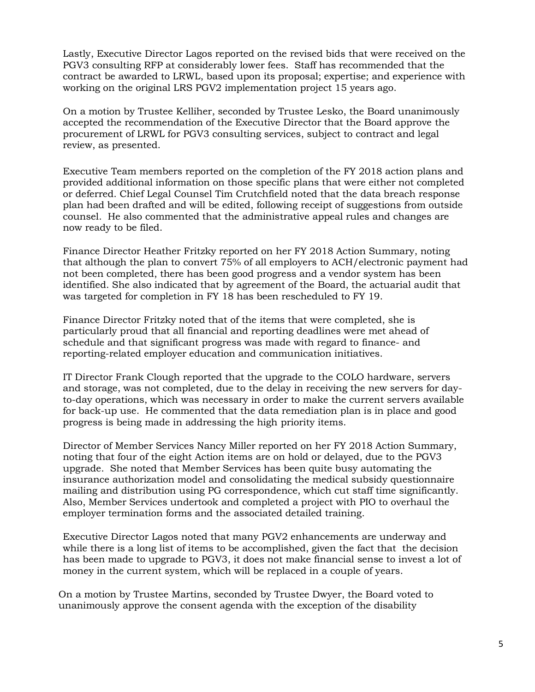Lastly, Executive Director Lagos reported on the revised bids that were received on the PGV3 consulting RFP at considerably lower fees. Staff has recommended that the contract be awarded to LRWL, based upon its proposal; expertise; and experience with working on the original LRS PGV2 implementation project 15 years ago.

On a motion by Trustee Kelliher, seconded by Trustee Lesko, the Board unanimously accepted the recommendation of the Executive Director that the Board approve the procurement of LRWL for PGV3 consulting services, subject to contract and legal review, as presented.

Executive Team members reported on the completion of the FY 2018 action plans and provided additional information on those specific plans that were either not completed or deferred. Chief Legal Counsel Tim Crutchfield noted that the data breach response plan had been drafted and will be edited, following receipt of suggestions from outside counsel. He also commented that the administrative appeal rules and changes are now ready to be filed.

Finance Director Heather Fritzky reported on her FY 2018 Action Summary, noting that although the plan to convert 75% of all employers to ACH/electronic payment had not been completed, there has been good progress and a vendor system has been identified. She also indicated that by agreement of the Board, the actuarial audit that was targeted for completion in FY 18 has been rescheduled to FY 19.

Finance Director Fritzky noted that of the items that were completed, she is particularly proud that all financial and reporting deadlines were met ahead of schedule and that significant progress was made with regard to finance- and reporting-related employer education and communication initiatives.

IT Director Frank Clough reported that the upgrade to the COLO hardware, servers and storage, was not completed, due to the delay in receiving the new servers for dayto-day operations, which was necessary in order to make the current servers available for back-up use. He commented that the data remediation plan is in place and good progress is being made in addressing the high priority items.

Director of Member Services Nancy Miller reported on her FY 2018 Action Summary, noting that four of the eight Action items are on hold or delayed, due to the PGV3 upgrade. She noted that Member Services has been quite busy automating the insurance authorization model and consolidating the medical subsidy questionnaire mailing and distribution using PG correspondence, which cut staff time significantly. Also, Member Services undertook and completed a project with PIO to overhaul the employer termination forms and the associated detailed training.

Executive Director Lagos noted that many PGV2 enhancements are underway and while there is a long list of items to be accomplished, given the fact that the decision has been made to upgrade to PGV3, it does not make financial sense to invest a lot of money in the current system, which will be replaced in a couple of years.

On a motion by Trustee Martins, seconded by Trustee Dwyer, the Board voted to unanimously approve the consent agenda with the exception of the disability